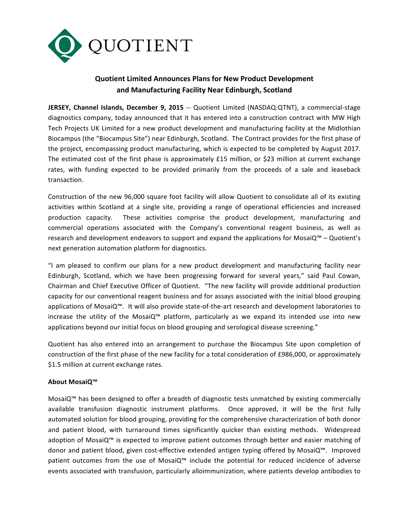

## **Quotient Limited Announces Plans for New Product Development and Manufacturing Facility Near Edinburgh, Scotland**

**JERSEY, Channel Islands, December 9, 2015** -- Quotient Limited (NASDAQ:QTNT), a commercial-stage diagnostics company, today announced that it has entered into a construction contract with MW High Tech Projects UK Limited for a new product development and manufacturing facility at the Midlothian Biocampus (the "Biocampus Site") near Edinburgh, Scotland. The Contract provides for the first phase of the project, encompassing product manufacturing, which is expected to be completed by August 2017. The estimated cost of the first phase is approximately  $£15$  million, or  $$23$  million at current exchange rates, with funding expected to be provided primarily from the proceeds of a sale and leaseback transaction.

Construction of the new 96,000 square foot facility will allow Quotient to consolidate all of its existing activities within Scotland at a single site, providing a range of operational efficiencies and increased production capacity. These activities comprise the product development, manufacturing and commercial operations associated with the Company's conventional reagent business, as well as research and development endeavors to support and expand the applications for MosaiQ™ – Quotient's next generation automation platform for diagnostics.

"I am pleased to confirm our plans for a new product development and manufacturing facility near Edinburgh, Scotland, which we have been progressing forward for several years," said Paul Cowan, Chairman and Chief Executive Officer of Quotient. "The new facility will provide additional production capacity for our conventional reagent business and for assays associated with the initial blood grouping applications of MosaiQ™. It will also provide state-of-the-art research and development laboratories to increase the utility of the MosaiQ™ platform, particularly as we expand its intended use into new applications beyond our initial focus on blood grouping and serological disease screening."

Quotient has also entered into an arrangement to purchase the Biocampus Site upon completion of construction of the first phase of the new facility for a total consideration of £986,000, or approximately \$1.5 million at current exchange rates.

## **About MosaiQ™**

MosaiQ™ has been designed to offer a breadth of diagnostic tests unmatched by existing commercially available transfusion diagnostic instrument platforms. Once approved, it will be the first fully automated solution for blood grouping, providing for the comprehensive characterization of both donor and patient blood, with turnaround times significantly quicker than existing methods. Widespread adoption of MosaiQ<sup>™</sup> is expected to improve patient outcomes through better and easier matching of donor and patient blood, given cost-effective extended antigen typing offered by MosaiQ™. Improved patient outcomes from the use of MosaiQ™ include the potential for reduced incidence of adverse events associated with transfusion, particularly alloimmunization, where patients develop antibodies to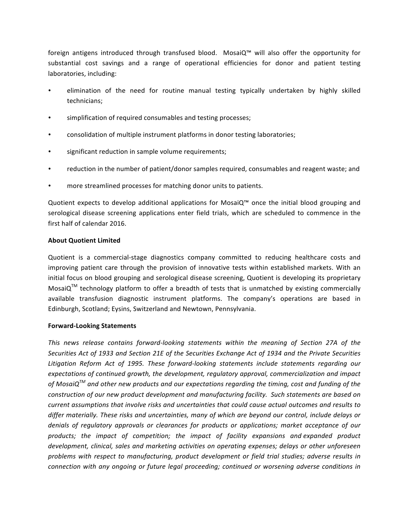foreign antigens introduced through transfused blood. MosaiQ™ will also offer the opportunity for substantial cost savings and a range of operational efficiencies for donor and patient testing laboratories, including:

- elimination of the need for routine manual testing typically undertaken by highly skilled technicians;
- simplification of required consumables and testing processes;
- consolidation of multiple instrument platforms in donor testing laboratories;
- significant reduction in sample volume requirements;
- reduction in the number of patient/donor samples required, consumables and reagent waste; and
- more streamlined processes for matching donor units to patients.

Quotient expects to develop additional applications for MosaiQ™ once the initial blood grouping and serological disease screening applications enter field trials, which are scheduled to commence in the first half of calendar 2016.

## **About Quotient Limited**

Quotient is a commercial-stage diagnostics company committed to reducing healthcare costs and improving patient care through the provision of innovative tests within established markets. With an initial focus on blood grouping and serological disease screening, Quotient is developing its proprietary MosaiQ<sup>TM</sup> technology platform to offer a breadth of tests that is unmatched by existing commercially available transfusion diagnostic instrument platforms. The company's operations are based in Edinburgh, Scotland; Eysins, Switzerland and Newtown, Pennsylvania.

## **Forward-Looking Statements**

This news release contains forward-looking statements within the meaning of Section 27A of the Securities Act of 1933 and Section 21E of the Securities Exchange Act of 1934 and the Private Securities Litigation Reform Act of 1995. These forward-looking statements include statements regarding our expectations of continued growth, the development, regulatory approval, commercialization and impact *of* MosaiQ<sup>™</sup> and other new products and our expectations regarding the timing, cost and funding of the *construction* of our new product development and manufacturing facility. Such statements are based on *current assumptions that involve risks and uncertainties that could cause actual outcomes and results to* differ materially. These risks and uncertainties, many of which are beyond our control, include delays or *denials of regulatory approvals or clearances for products or applications; market acceptance of our products; the impact of competition; the impact of facility expansions and expanded product*  development, clinical, sales and marketing activities on operating expenses; delays or other unforeseen problems with respect to manufacturing, product development or field trial studies; adverse results in *connection* with any ongoing or future legal proceeding; continued or worsening adverse conditions in